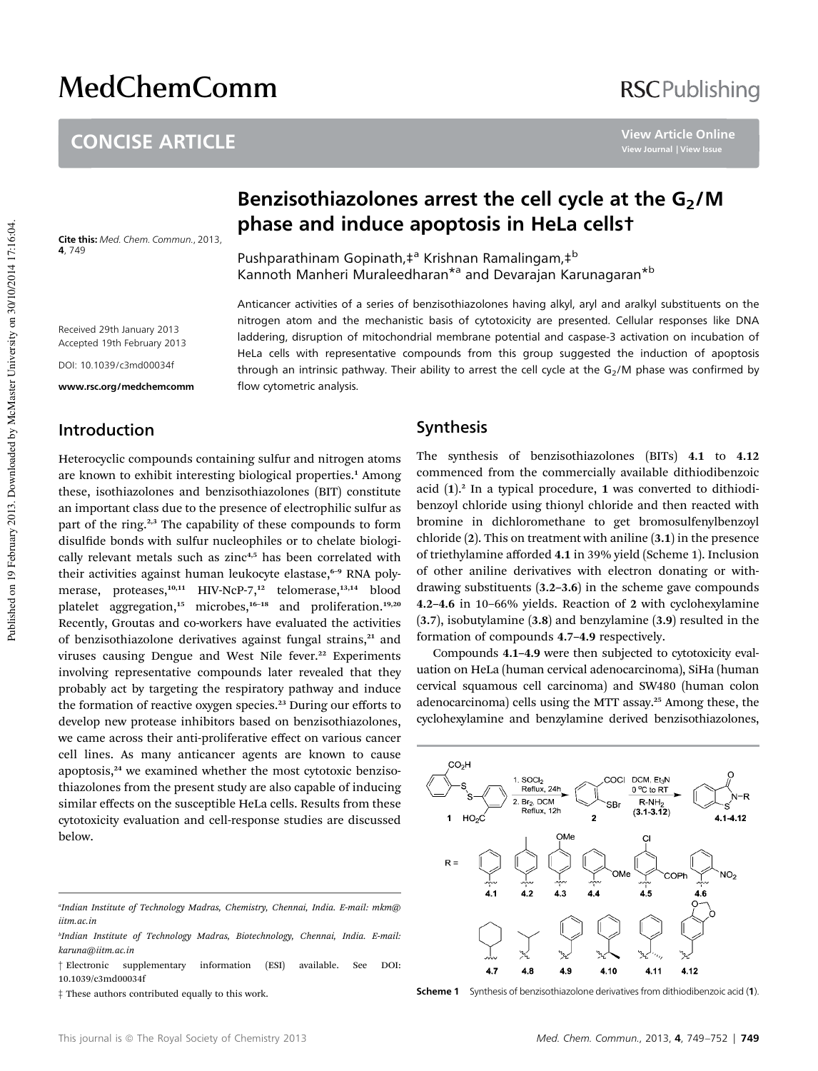# **MedChemComm**

# CONCISE ARTICLE

**View Article Online**

Cite this: Med. Chem. Commun., 2013, 4, 749

# Benzisothiazolones arrest the cell cycle at the  $G<sub>2</sub>/M$ phase and induce apoptosis in HeLa cells†

Anticancer activities of a series of benzisothiazolones having alkyl, aryl and aralkyl substituents on the nitrogen atom and the mechanistic basis of cytotoxicity are presented. Cellular responses like DNA laddering, disruption of mitochondrial membrane potential and caspase-3 activation on incubation of HeLa cells with representative compounds from this group suggested the induction of apoptosis

Pushparathinam Gopinath,‡<sup>a</sup> Krishnan Ramalingam,‡<sup>b</sup> Kannoth Manheri Muraleedharan<sup>\*a</sup> and Devarajan Karunagaran<sup>\*b</sup>

Received 29th January 2013 Accepted 19th February 2013 DOI: 10.1039/c3md00034f

www.rsc.org/medchemcomm

## through an intrinsic pathway. Their ability to arrest the cell cycle at the  $G<sub>2</sub>/M$  phase was confirmed by flow cytometric analysis.

### Introduction

Heterocyclic compounds containing sulfur and nitrogen atoms are known to exhibit interesting biological properties.<sup>1</sup> Among these, isothiazolones and benzisothiazolones (BIT) constitute an important class due to the presence of electrophilic sulfur as part of the ring.<sup>2,3</sup> The capability of these compounds to form disulfide bonds with sulfur nucleophiles or to chelate biologically relevant metals such as zinc<sup>4,5</sup> has been correlated with their activities against human leukocyte elastase,<sup>6-9</sup> RNA polymerase, proteases,<sup>10,11</sup> HIV-NcP-7,<sup>12</sup> telomerase,<sup>13,14</sup> blood platelet aggregation,<sup>15</sup> microbes,<sup>16-18</sup> and proliferation.<sup>19,20</sup> Recently, Groutas and co-workers have evaluated the activities of benzisothiazolone derivatives against fungal strains,<sup>21</sup> and viruses causing Dengue and West Nile fever.<sup>22</sup> Experiments involving representative compounds later revealed that they probably act by targeting the respiratory pathway and induce the formation of reactive oxygen species.<sup>23</sup> During our efforts to develop new protease inhibitors based on benzisothiazolones, we came across their anti-proliferative effect on various cancer cell lines. As many anticancer agents are known to cause apoptosis,<sup>24</sup> we examined whether the most cytotoxic benzisothiazolones from the present study are also capable of inducing similar effects on the susceptible HeLa cells. Results from these cytotoxicity evaluation and cell-response studies are discussed below.

#### Synthesis

The synthesis of benzisothiazolones (BITs) 4.1 to 4.12 commenced from the commercially available dithiodibenzoic acid  $(1)$ .<sup>2</sup> In a typical procedure, 1 was converted to dithiodibenzoyl chloride using thionyl chloride and then reacted with bromine in dichloromethane to get bromosulfenylbenzoyl chloride (2). This on treatment with aniline (3.1) in the presence of triethylamine afforded 4.1 in 39% yield (Scheme 1). Inclusion of other aniline derivatives with electron donating or withdrawing substituents (3.2–3.6) in the scheme gave compounds 4.2–4.6 in 10–66% yields. Reaction of 2 with cyclohexylamine (3.7), isobutylamine (3.8) and benzylamine (3.9) resulted in the formation of compounds 4.7–4.9 respectively.

Compounds 4.1–4.9 were then subjected to cytotoxicity evaluation on HeLa (human cervical adenocarcinoma), SiHa (human cervical squamous cell carcinoma) and SW480 (human colon adenocarcinoma) cells using the MTT assay.<sup>25</sup> Among these, the cyclohexylamine and benzylamine derived benzisothiazolones,



Scheme 1 Synthesis of benzisothiazolone derivatives from dithiodibenzoic acid (1).

*a Indian Institute of Technology Madras, Chemistry, Chennai, India. E-mail: mkm@ iitm.ac.in*

*b Indian Institute of Technology Madras, Biotechnology, Chennai, India. E-mail: karuna@iitm.ac.in*

<sup>†</sup> Electronic supplementary information (ESI) available. See DOI: 10.1039/c3md00034f

<sup>‡</sup> These authors contributed equally to this work.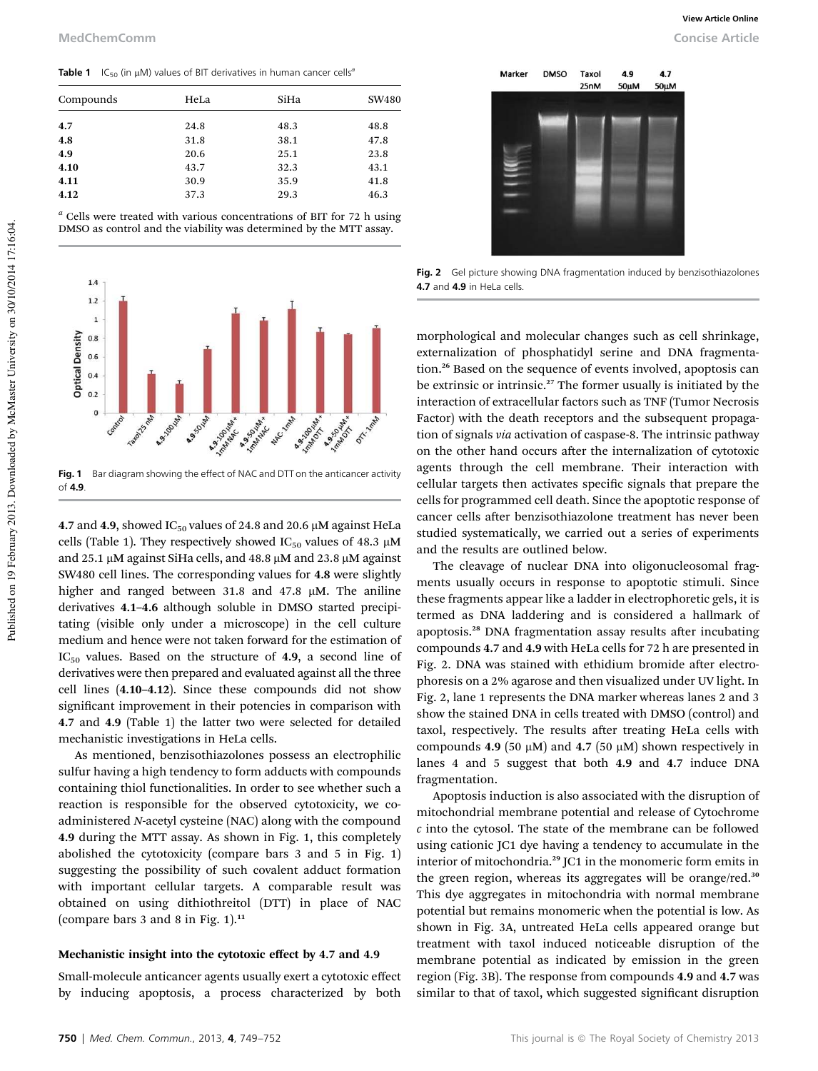**Table 1** IC<sub>50</sub> (in  $\mu$ M) values of BIT derivatives in human cancer cells<sup>6</sup>

| HeLa | SiHa | SW480 |
|------|------|-------|
| 24.8 | 48.3 | 48.8  |
| 31.8 | 38.1 | 47.8  |
| 20.6 | 25.1 | 23.8  |
| 43.7 | 32.3 | 43.1  |
| 30.9 | 35.9 | 41.8  |
| 37.3 | 29.3 | 46.3  |
|      |      |       |

*<sup>a</sup>* Cells were treated with various concentrations of BIT for 72 h using DMSO as control and the viability was determined by the MTT assay.



Fig. 1 Bar diagram showing the effect of NAC and DTT on the anticancer activity of 4.9.

4.7 and 4.9, showed IC<sub>50</sub> values of 24.8 and 20.6  $\mu$ M against HeLa cells (Table 1). They respectively showed IC<sub>50</sub> values of 48.3  $\mu$ M and 25.1  $\mu$ M against SiHa cells, and 48.8  $\mu$ M and 23.8  $\mu$ M against SW480 cell lines. The corresponding values for 4.8 were slightly higher and ranged between 31.8 and 47.8 µM. The aniline derivatives 4.1–4.6 although soluble in DMSO started precipitating (visible only under a microscope) in the cell culture medium and hence were not taken forward for the estimation of  $IC_{50}$  values. Based on the structure of 4.9, a second line of derivatives were then prepared and evaluated against all the three cell lines (4.10–4.12). Since these compounds did not show significant improvement in their potencies in comparison with 4.7 and 4.9 (Table 1) the latter two were selected for detailed mechanistic investigations in HeLa cells.

As mentioned, benzisothiazolones possess an electrophilic sulfur having a high tendency to form adducts with compounds containing thiol functionalities. In order to see whether such a reaction is responsible for the observed cytotoxicity, we coadministered *N*-acetyl cysteine (NAC) along with the compound 4.9 during the MTT assay. As shown in Fig. 1, this completely abolished the cytotoxicity (compare bars 3 and 5 in Fig. 1) suggesting the possibility of such covalent adduct formation with important cellular targets. A comparable result was obtained on using dithiothreitol (DTT) in place of NAC (compare bars 3 and 8 in Fig. 1). $11$ 

#### Mechanistic insight into the cytotoxic effect by 4.7 and 4.9

Small-molecule anticancer agents usually exert a cytotoxic effect by inducing apoptosis, a process characterized by both

Marker **DMSO** Taxol 4.9  $4.7$  $25nN$ 50µM  $50 \mu M$ 

**View Article Online**

Fig. 2 Gel picture showing DNA fragmentation induced by benzisothiazolones 4.7 and 4.9 in HeLa cells.

morphological and molecular changes such as cell shrinkage, externalization of phosphatidyl serine and DNA fragmentation.<sup>26</sup> Based on the sequence of events involved, apoptosis can be extrinsic or intrinsic.<sup>27</sup> The former usually is initiated by the interaction of extracellular factors such as TNF (Tumor Necrosis Factor) with the death receptors and the subsequent propagation of signals *via* activation of caspase-8. The intrinsic pathway on the other hand occurs after the internalization of cytotoxic agents through the cell membrane. Their interaction with cellular targets then activates specific signals that prepare the cells for programmed cell death. Since the apoptotic response of cancer cells after benzisothiazolone treatment has never been studied systematically, we carried out a series of experiments and the results are outlined below.

The cleavage of nuclear DNA into oligonucleosomal fragments usually occurs in response to apoptotic stimuli. Since these fragments appear like a ladder in electrophoretic gels, it is termed as DNA laddering and is considered a hallmark of apoptosis.<sup>28</sup> DNA fragmentation assay results after incubating compounds 4.7 and 4.9 with HeLa cells for 72 h are presented in Fig. 2. DNA was stained with ethidium bromide after electrophoresis on a 2% agarose and then visualized under UV light. In Fig. 2, lane 1 represents the DNA marker whereas lanes 2 and 3 show the stained DNA in cells treated with DMSO (control) and taxol, respectively. The results after treating HeLa cells with compounds 4.9 (50  $\mu$ M) and 4.7 (50  $\mu$ M) shown respectively in lanes 4 and 5 suggest that both 4.9 and 4.7 induce DNA fragmentation.

Apoptosis induction is also associated with the disruption of mitochondrial membrane potential and release of Cytochrome *c* into the cytosol. The state of the membrane can be followed using cationic JC1 dye having a tendency to accumulate in the interior of mitochondria.<sup>29</sup> JC1 in the monomeric form emits in the green region, whereas its aggregates will be orange/red.<sup>30</sup> This dye aggregates in mitochondria with normal membrane potential but remains monomeric when the potential is low. As shown in Fig. 3A, untreated HeLa cells appeared orange but treatment with taxol induced noticeable disruption of the membrane potential as indicated by emission in the green region (Fig. 3B). The response from compounds 4.9 and 4.7 was similar to that of taxol, which suggested significant disruption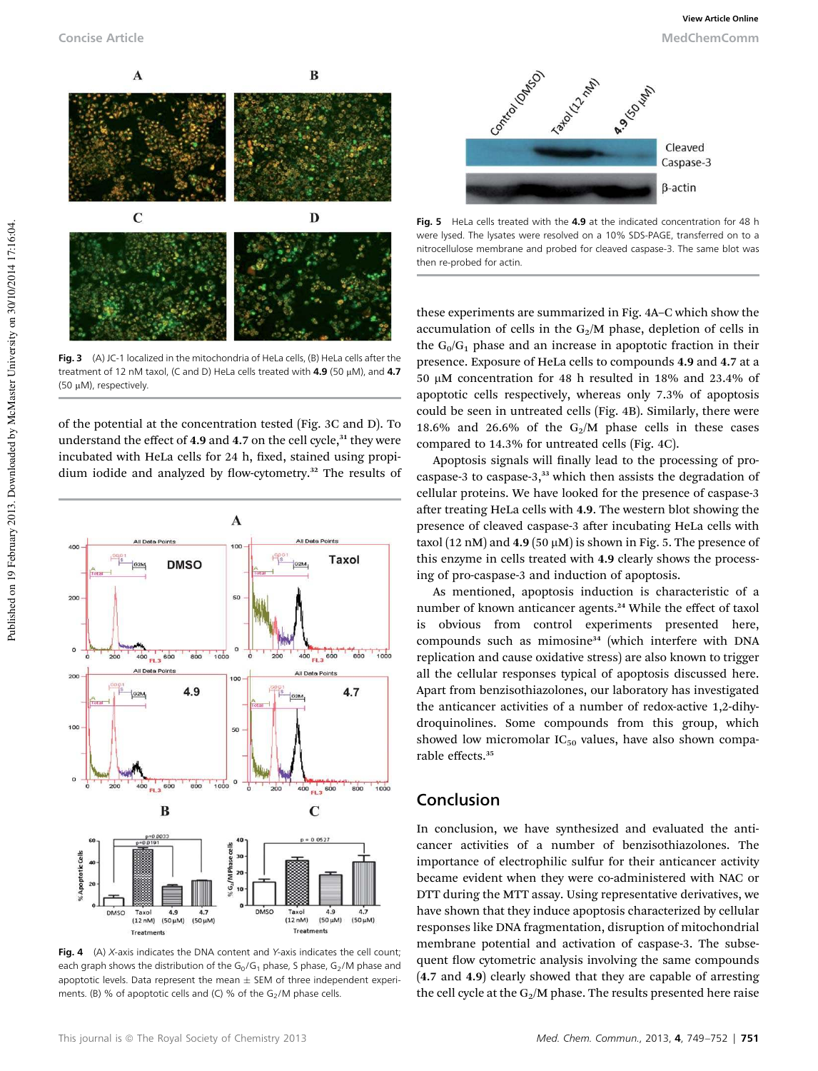

Fig. 3 (A) JC-1 localized in the mitochondria of HeLa cells, (B) HeLa cells after the treatment of 12 nM taxol, (C and D) HeLa cells treated with  $4.9$  (50  $\mu$ M), and  $4.7$ (50 μM), respectively.

of the potential at the concentration tested (Fig. 3C and D). To understand the effect of 4.9 and 4.7 on the cell cycle, $31$  they were incubated with HeLa cells for 24 h, fixed, stained using propidium iodide and analyzed by flow-cytometry.<sup>32</sup> The results of



**Fig. 4** (A) X-axis indicates the DNA content and Y-axis indicates the cell count; each graph shows the distribution of the  $G_0/G_1$  phase, S phase,  $G_2/M$  phase and apoptotic levels. Data represent the mean  $\pm$  SEM of three independent experiments. (B) % of apoptotic cells and (C) % of the  $G_2/M$  phase cells.



Fig. 5 HeLa cells treated with the 4.9 at the indicated concentration for 48 h were lysed. The lysates were resolved on a 10% SDS-PAGE, transferred on to a nitrocellulose membrane and probed for cleaved caspase-3. The same blot was then re-probed for actin.

these experiments are summarized in Fig. 4A–C which show the accumulation of cells in the  $G_2/M$  phase, depletion of cells in the  $G_0/G_1$  phase and an increase in apoptotic fraction in their presence. Exposure of HeLa cells to compounds 4.9 and 4.7 at a 50 mM concentration for 48 h resulted in 18% and 23.4% of apoptotic cells respectively, whereas only 7.3% of apoptosis could be seen in untreated cells (Fig. 4B). Similarly, there were 18.6% and 26.6% of the  $G_2/M$  phase cells in these cases compared to 14.3% for untreated cells (Fig. 4C).

Apoptosis signals will finally lead to the processing of procaspase-3 to caspase-3,<sup>33</sup> which then assists the degradation of cellular proteins. We have looked for the presence of caspase-3 after treating HeLa cells with 4.9. The western blot showing the presence of cleaved caspase-3 after incubating HeLa cells with taxol (12 nM) and  $4.9$  (50  $\mu$ M) is shown in Fig. 5. The presence of this enzyme in cells treated with 4.9 clearly shows the processing of pro-caspase-3 and induction of apoptosis.

As mentioned, apoptosis induction is characteristic of a number of known anticancer agents.<sup>24</sup> While the effect of taxol is obvious from control experiments presented here, compounds such as mimosine<sup>34</sup> (which interfere with DNA replication and cause oxidative stress) are also known to trigger all the cellular responses typical of apoptosis discussed here. Apart from benzisothiazolones, our laboratory has investigated the anticancer activities of a number of redox-active 1,2-dihydroquinolines. Some compounds from this group, which showed low micromolar  $IC_{50}$  values, have also shown comparable effects.<sup>35</sup>

#### Conclusion

In conclusion, we have synthesized and evaluated the anticancer activities of a number of benzisothiazolones. The importance of electrophilic sulfur for their anticancer activity became evident when they were co-administered with NAC or DTT during the MTT assay. Using representative derivatives, we have shown that they induce apoptosis characterized by cellular responses like DNA fragmentation, disruption of mitochondrial membrane potential and activation of caspase-3. The subsequent flow cytometric analysis involving the same compounds (4.7 and 4.9) clearly showed that they are capable of arresting the cell cycle at the  $G_2/M$  phase. The results presented here raise